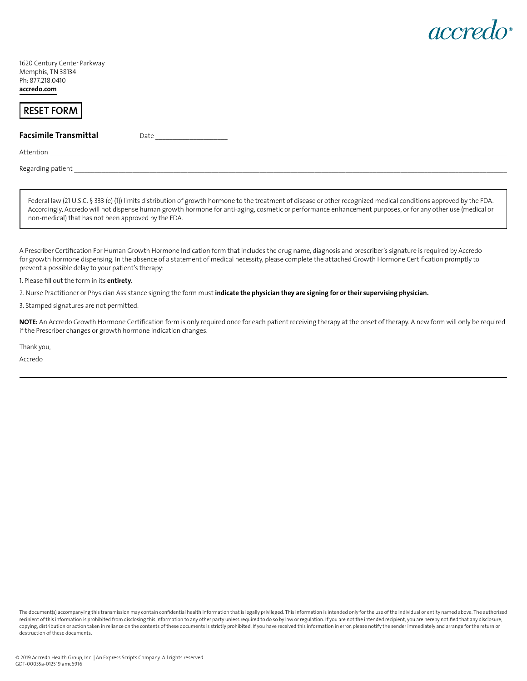

1620 Century Center Parkway Memphis, TN 38134 Ph: 877.218.0410 **[accredo.com](https://www.accredo.com/)** 

# RESET FORM **RESET FORM**

## **Facsimile Transmittal Date Date**

Attention \_\_\_\_\_\_\_\_\_\_\_\_\_\_\_\_\_\_\_\_\_\_\_\_\_\_\_\_\_\_\_\_\_\_\_\_\_\_\_\_\_\_\_\_\_\_\_\_\_\_\_\_\_\_\_\_\_\_\_\_\_\_\_\_\_\_\_\_\_\_\_\_\_\_\_\_\_\_\_\_\_\_\_\_\_\_\_\_\_\_\_\_\_\_\_\_\_\_\_\_\_\_\_\_\_\_\_\_\_\_\_\_\_\_\_\_\_\_\_\_\_\_\_\_\_\_\_\_\_\_\_\_\_

Regar ing patient \_\_\_\_\_\_\_\_\_\_\_\_\_\_\_\_\_\_\_\_\_\_\_\_\_\_\_\_\_\_\_\_\_\_\_\_\_\_\_\_\_\_\_\_\_\_\_\_\_\_\_\_\_\_\_\_\_\_\_\_\_\_\_\_\_\_\_\_\_\_\_\_\_\_\_\_\_\_\_\_\_\_\_\_\_\_\_\_\_\_\_\_\_\_\_\_\_\_\_\_\_\_\_\_\_\_\_\_\_\_\_\_\_\_\_\_\_\_\_\_\_\_\_\_\_\_

Federal law (21 U.S.C. § 333 (e) (1)) limits distribution of growth hormone to the treatment of disease or other recognized medical conditions approved by the FDA. Accordingly, Accredo will not dispense human growth hormone for anti-aging, cosmetic or performance enhancement purposes, or for any other use (medical or non-medical) that has not been approved by the FDA.

A Prescriber Certification For Human Growth Hormone Indication form that includes the drug name, diagnosis and prescriber's signature is required by Accredo for growth hormone dispensing. In the absence of a statement of medical necessity, please complete the attached Growth Hormone Certification promptly to prevent a possible delay to your patient's therapy:

1. Please fll out the form in its **entirety**.

2. Nurse Practitioner or Physician Assistance signing the form must **indicate the physician they are signing for or their supervising physician.** 

3. Stamped signatures are not permitted.

NOTE: An Accredo Growth Hormone Certification form is only required once for each patient receiving therapy at the onset of therapy. A new form will only be required if the Prescriber changes or growth hormone indication changes.

Thank you,

Accredo

The document(s) accompanying this transmission may contain confidential health information that is legally privileged. This information is intended only for the use of the individual or entity named above. The authorized recipient of this information is prohibited from disclosing this information to any other party unless required to do so by law or regulation. If you are not the intended recipient, you are hereby notified that any disclos copying, distribution or action taken in reliance on the contents of these documents is strictly prohibited. If you have received this information in error, please notify the sender immediately and arrange for the return o destruction of these documents.